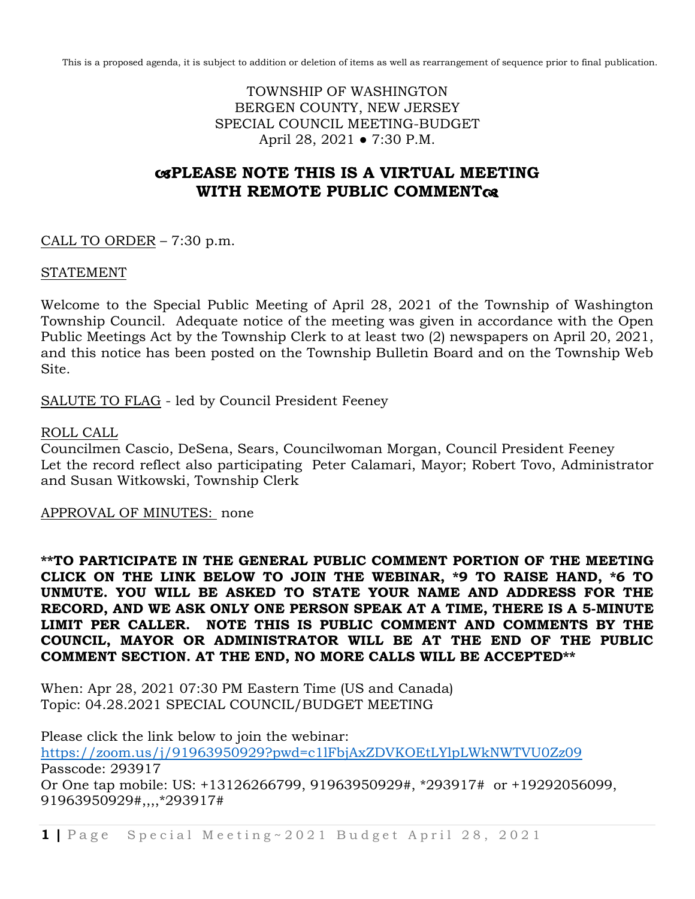This is a proposed agenda, it is subject to addition or deletion of items as well as rearrangement of sequence prior to final publication.

TOWNSHIP OF WASHINGTON BERGEN COUNTY, NEW JERSEY SPECIAL COUNCIL MEETING-BUDGET April 28, 2021 ● 7:30 P.M.

# **PLEASE NOTE THIS IS A VIRTUAL MEETING WITH REMOTE PUBLIC COMMENT**

CALL TO ORDER  $-7:30$  p.m.

## STATEMENT

Welcome to the Special Public Meeting of April 28, 2021 of the Township of Washington Township Council. Adequate notice of the meeting was given in accordance with the Open Public Meetings Act by the Township Clerk to at least two (2) newspapers on April 20, 2021, and this notice has been posted on the Township Bulletin Board and on the Township Web Site.

SALUTE TO FLAG - led by Council President Feeney

# ROLL CALL

Councilmen Cascio, DeSena, Sears, Councilwoman Morgan, Council President Feeney Let the record reflect also participating Peter Calamari, Mayor; Robert Tovo, Administrator and Susan Witkowski, Township Clerk

## APPROVAL OF MINUTES: none

**\*\*TO PARTICIPATE IN THE GENERAL PUBLIC COMMENT PORTION OF THE MEETING CLICK ON THE LINK BELOW TO JOIN THE WEBINAR, \*9 TO RAISE HAND, \*6 TO UNMUTE. YOU WILL BE ASKED TO STATE YOUR NAME AND ADDRESS FOR THE RECORD, AND WE ASK ONLY ONE PERSON SPEAK AT A TIME, THERE IS A 5-MINUTE LIMIT PER CALLER. NOTE THIS IS PUBLIC COMMENT AND COMMENTS BY THE COUNCIL, MAYOR OR ADMINISTRATOR WILL BE AT THE END OF THE PUBLIC COMMENT SECTION. AT THE END, NO MORE CALLS WILL BE ACCEPTED\*\***

When: Apr 28, 2021 07:30 PM Eastern Time (US and Canada) Topic: 04.28.2021 SPECIAL COUNCIL/BUDGET MEETING

Please click the link below to join the webinar: <https://zoom.us/j/91963950929?pwd=c1lFbjAxZDVKOEtLYlpLWkNWTVU0Zz09> Passcode: 293917 Or One tap mobile: US: +13126266799, 91963950929#, \*293917# or +19292056099, 91963950929#,,,,\*293917#